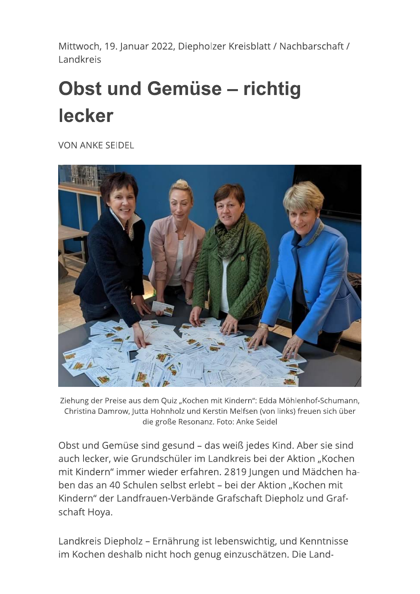Mittwoch, 19. Januar 2022, Diepholzer Kreisblatt / Nachbarschaft / Landkreis

## **Obst und Gemüse - richtig** lecker

**VON ANKE SEIDEL** 



Ziehung der Preise aus dem Quiz "Kochen mit Kindern": Edda Möhlenhof-Schumann, Christina Damrow, Jutta Hohnholz und Kerstin Melfsen (von links) freuen sich über die große Resonanz. Foto: Anke Seidel

Obst und Gemüse sind gesund - das weiß jedes Kind. Aber sie sind auch lecker, wie Grundschüler im Landkreis bei der Aktion "Kochen mit Kindern" immer wieder erfahren. 2819 Jungen und Mädchen haben das an 40 Schulen selbst erlebt – bei der Aktion "Kochen mit Kindern" der Landfrauen-Verbände Grafschaft Diepholz und Grafschaft Hoya.

Landkreis Diepholz - Ernährung ist lebenswichtig, und Kenntnisse im Kochen deshalb nicht hoch genug einzuschätzen. Die Land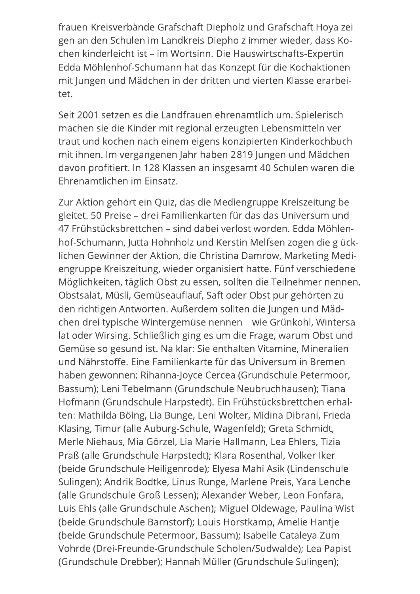frauen-Kreisverbände Grafschaft Diepholz und Grafschaft Hoya zeigen an den Schulen im Landkreis Diepholz immer wieder, dass Kochen kinderleicht ist - im Wortsinn. Die Hauswirtschafts-Expertin Edda Möhlenhof-Schumann hat das Konzept für die Kochaktionen mit Jungen und Mädchen in der dritten und vierten Klasse erarbeitet.

Seit 2001 setzen es die Landfrauen ehrenamtlich um. Spielerisch machen sie die Kinder mit regional erzeugten Lebensmitteln vertraut und kochen nach einem eigens konzipierten Kinderkochbuch mit ihnen. Im vergangenen Jahr haben 2819 Jungen und Mädchen davon profitiert. In 128 Klassen an insgesamt 40 Schulen waren die Ehrenamtlichen im Einsatz.

Zur Aktion gehört ein Quiz, das die Mediengruppe Kreiszeitung begleitet. 50 Preise – drei Familienkarten für das das Universum und 47 Frühstücksbrettchen – sind dabei verlost worden. Edda Möhlenhof-Schumann, Jutta Hohnholz und Kerstin Melfsen zogen die glücklichen Gewinner der Aktion, die Christina Damrow, Marketing Mediengruppe Kreiszeitung, wieder organisiert hatte. Fünf verschiedene Möglichkeiten, täglich Obst zu essen, sollten die Teilnehmer nennen. Obstsalat, Müsli, Gemüseauflauf, Saft oder Obst pur gehörten zu den richtigen Antworten. Außerdem sollten die Jungen und Mädchen drei typische Wintergemüse nennen – wie Grünkohl, Wintersalat oder Wirsing. Schließlich ging es um die Frage, warum Obst und Gemüse so gesund ist. Na klar: Sie enthalten Vitamine, Mineralien und Nährstoffe. Eine Familienkarte für das Universum in Bremen haben gewonnen: Rihanna-Joyce Cercea (Grundschule Petermoor, Bassum); Leni Tebelmann (Grundschule Neubruchhausen); Tiana Hofmann (Grundschule Harpstedt). Ein Frühstücksbrettchen erhalten: Mathilda Böing, Lia Bunge, Leni Wolter, Midina Dibrani, Frieda Klasing, Timur (alle Auburg-Schule, Wagenfeld); Greta Schmidt, Merle Niehaus, Mia Görzel, Lia Marie Hallmann, Lea Ehlers, Tizia Praß (alle Grundschule Harpstedt); Klara Rosenthal, Volker Iker (beide Grundschule Heiligenrode); Elyesa Mahi Asik (Lindenschule Sulingen); Andrik Bodtke, Linus Runge, Marlene Preis, Yara Lenche (alle Grundschule Groß Lessen); Alexander Weber, Leon Fonfara, Luis Ehls (alle Grundschule Aschen); Miguel Oldewage, Paulina Wist (beide Grundschule Barnstorf); Louis Horstkamp, Amelie Hantje (beide Grundschule Petermoor, Bassum); Isabelle Cataleya Zum Vohrde (Drei-Freunde-Grundschule Scholen/Sudwalde); Lea Papist (Grundschule Drebber); Hannah Müller (Grundschule Sulingen);